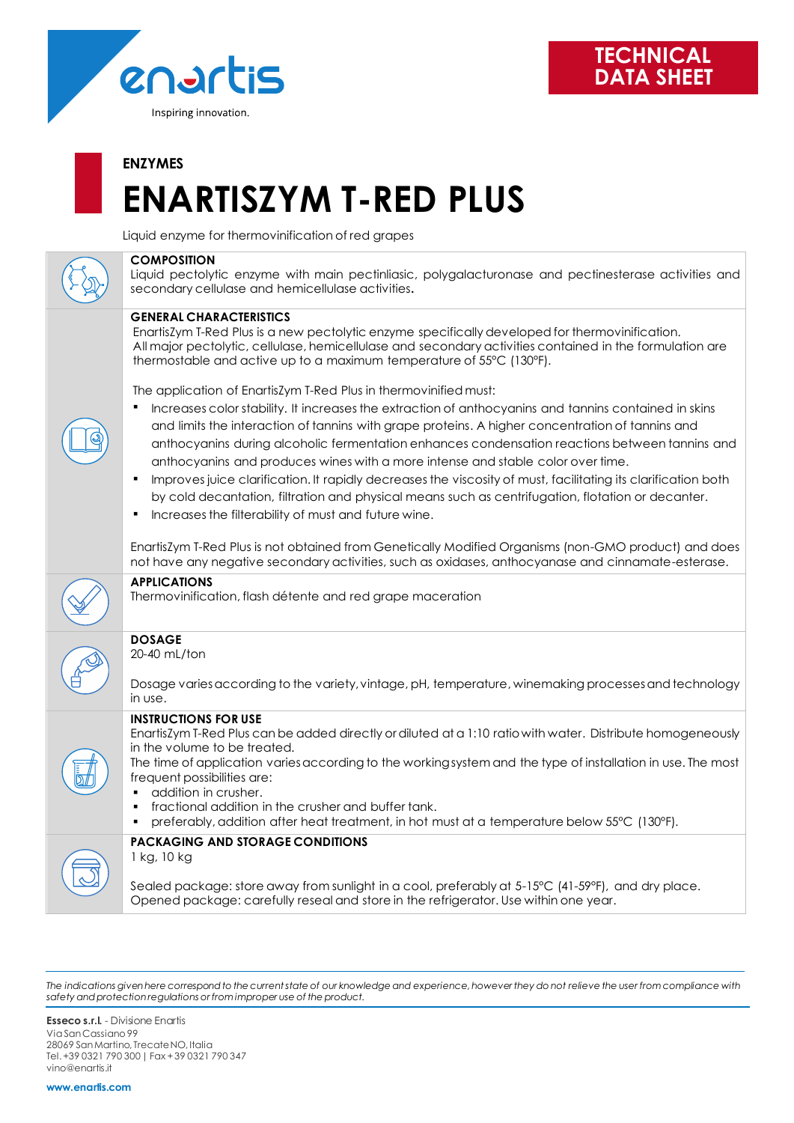

## **ENZYMES**

# **ENARTISZYM T-RED PLUS**

Liquid enzyme for thermovinification of red grapes

## **COMPOSITION**

Liquid pectolytic enzyme with main pectinliasic, polygalacturonase and pectinesterase activities and secondary cellulase and hemicellulase activities**.**

## **GENERAL CHARACTERISTICS**

EnartisZym T-Red Plus is a new pectolytic enzyme specifically developed for thermovinification. All major pectolytic, cellulase, hemicellulase and secondary activities contained in the formulation are thermostable and active up to a maximum temperature of 55°C (130°F).

The application of EnartisZym T-Red Plus in thermovinified must:

- Increases color stability. It increases the extraction of anthocyanins and tannins contained in skins and limits the interaction of tannins with grape proteins. A higher concentration of tannins and anthocyanins during alcoholic fermentation enhances condensation reactions between tannins and anthocyanins and produces wines with a more intense and stable color over time.
- Improves juice clarification. It rapidly decreases the viscosity of must, facilitating its clarification both by cold decantation, filtration and physical means such as centrifugation, flotation or decanter.
- Increases the filterability of must and future wine.

EnartisZym T-Red Plus is not obtained from Genetically Modified Organisms (non-GMO product) and does not have any negative secondary activities, such as oxidases, anthocyanase and cinnamate-esterase.



# **APPLICATIONS**

Thermovinification, flash détente and red grape maceration

# **DOSAGE**

20-40 mL/ton

Dosage varies according to the variety, vintage, pH, temperature, winemaking processesand technology in use.

### **INSTRUCTIONS FOR USE**

EnartisZym T-Red Plus can be added directly or diluted at a 1:10 ratio with water. Distribute homogeneously in the volume to be treated.

The time of application varies according to the working system and the type of installation in use. The most frequent possibilities are:

- addition in crusher.
- fractional addition in the crusher and buffer tank.
- preferably, addition after heat treatment, in hot must at a temperature below 55°C (130°F).



#### **PACKAGING AND STORAGE CONDITIONS** 1 kg, 10 kg

Sealed package: store away from sunlight in a cool, preferably at 5-15°C (41-59°F), and dry place. Opened package: carefully reseal and store in the refrigerator. Use within one year.

*The indications given here correspond to the current state of our knowledge and experience, however they do not relieve the user from compliance with safety and protection regulations or from improper use of the product.*

**Esseco s.r.l.** - Divisione Enartis Via San Cassiano 99 28069 San Martino, Trecate NO, Italia Tel. +39 0321 790 300 | Fax + 39 0321 790 347 vino@enartis.it

**www.enartis.com**